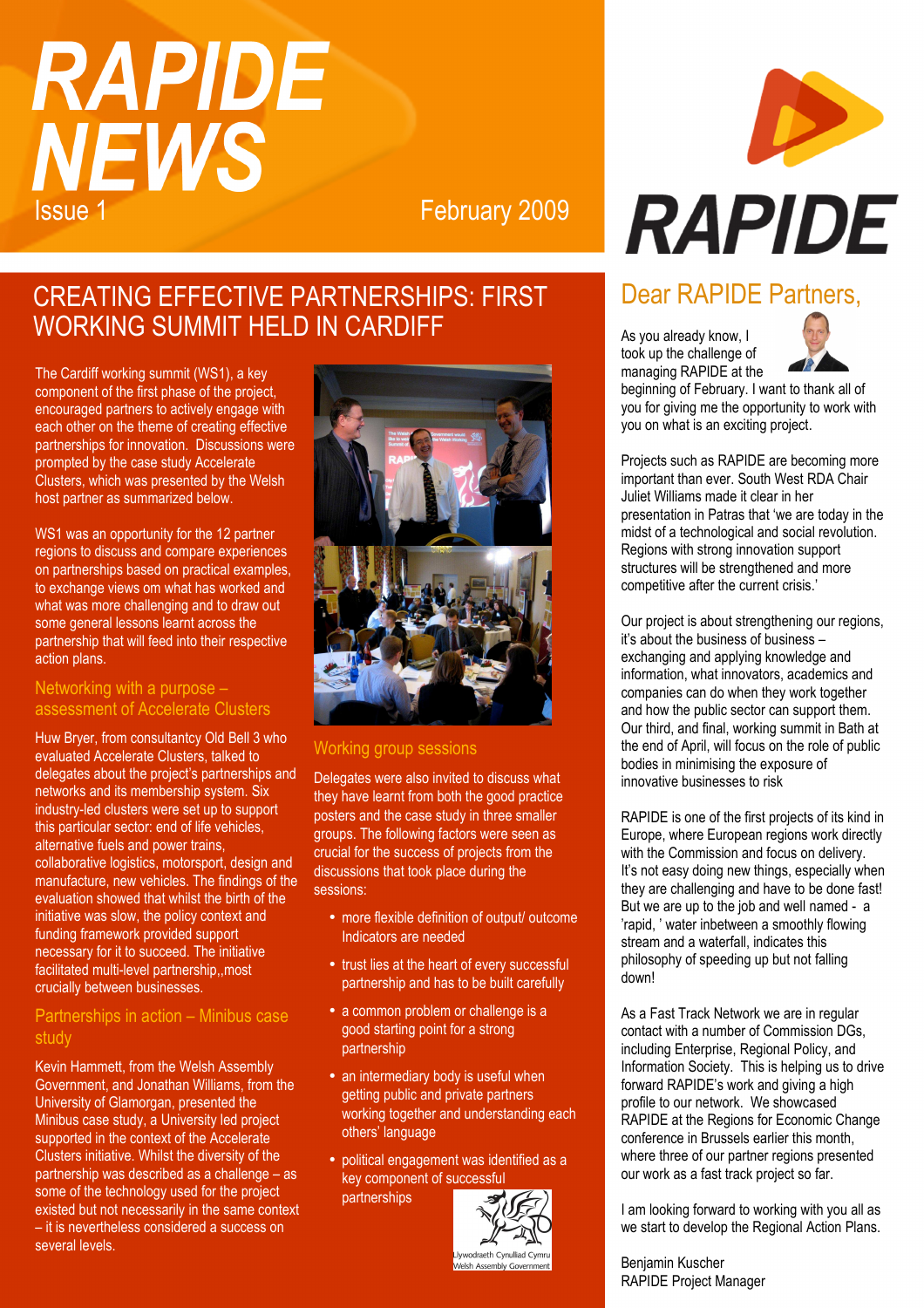# **RAPIDE NEWS Issue 1** February 2009

**RAPIDE** 

# CREATING EFFECTIVE PARTNERSHIPS: FIRST WORKING SUMMIT HELD IN CARDIFF

The Cardiff working summit (WS1), a key component of the first phase of the project, encouraged partners to actively engage with each other on the theme of creating effective partnerships for innovation. Discussions were prompted by the case study Accelerate Clusters, which was presented by the Welsh host partner as summarized below.

WS1 was an opportunity for the 12 partner regions to discuss and compare experiences on partnerships based on practical examples, to exchange views om what has worked and what was more challenging and to draw out some general lessons learnt across the partnership that will feed into their respective action plans.

### Networking with a purpose – assessment of Accelerate Clusters

Huw Bryer, from consultantcy Old Bell 3 who evaluated Accelerate Clusters, talked to delegates about the project's partnerships and networks and its membership system. Six industry-led clusters were set up to support this particular sector: end of life vehicles, alternative fuels and power trains, collaborative logistics, motorsport, design and manufacture, new vehicles. The findings of the evaluation showed that whilst the birth of the initiative was slow, the policy context and funding framework provided support necessary for it to succeed. The initiative facilitated multi-level partnership,,most crucially between businesses.

## Partnerships in action – Minibus case study

Kevin Hammett, from the Welsh Assembly Government, and Jonathan Williams, from the University of Glamorgan, presented the Minibus case study, a University led project supported in the context of the Accelerate Clusters initiative. Whilst the diversity of the partnership was described as a challenge – as some of the technology used for the project existed but not necessarily in the same context – it is nevertheless considered a success on several levels.



## Working group sessions

Delegates were also invited to discuss what they have learnt from both the good practice posters and the case study in three smaller groups. The following factors were seen as crucial for the success of projects from the discussions that took place during the sessions:

- more flexible definition of output/ outcome Indicators are needed
- trust lies at the heart of every successful partnership and has to be built carefully
- a common problem or challenge is a good starting point for a strong partnership
- an intermediary body is useful when getting public and private partners working together and understanding each others' language
- political engagement was identified as a key component of successful partnerships



#### Welsh Assembly Governmer

# Dear RAPIDE Partners,

As you already know, I took up the challenge of managing RAPIDE at the



beginning of February. I want to thank all of you for giving me the opportunity to work with you on what is an exciting project.

Projects such as RAPIDE are becoming more important than ever. South West RDA Chair Juliet Williams made it clear in her presentation in Patras that 'we are today in the midst of a technological and social revolution. Regions with strong innovation support structures will be strengthened and more competitive after the current crisis.'

Our project is about strengthening our regions, it's about the business of business – exchanging and applying knowledge and information, what innovators, academics and companies can do when they work together and how the public sector can support them. Our third, and final, working summit in Bath at the end of April, will focus on the role of public bodies in minimising the exposure of innovative businesses to risk

RAPIDE is one of the first projects of its kind in Europe, where European regions work directly with the Commission and focus on delivery. It's not easy doing new things, especially when they are challenging and have to be done fast! But we are up to the job and well named - a 'rapid, ' water inbetween a smoothly flowing stream and a waterfall, indicates this philosophy of speeding up but not falling down!

As a Fast Track Network we are in regular contact with a number of Commission DGs, including Enterprise, Regional Policy, and Information Society. This is helping us to drive forward RAPIDE's work and giving a high profile to our network. We showcased RAPIDE at the Regions for Economic Change conference in Brussels earlier this month, where three of our partner regions presented our work as a fast track project so far.

I am looking forward to working with you all as we start to develop the Regional Action Plans.

Benjamin Kuscher RAPIDE Project Manager